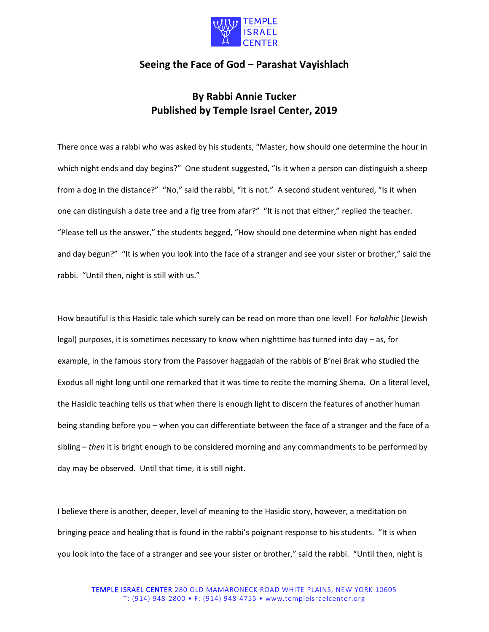

## **Seeing the Face of God – Parashat Vayishlach**

## **By Rabbi Annie Tucker Published by Temple Israel Center, 2019**

There once was a rabbi who was asked by his students, "Master, how should one determine the hour in which night ends and day begins?" One student suggested, "Is it when a person can distinguish a sheep from a dog in the distance?" "No," said the rabbi, "It is not." A second student ventured, "Is it when one can distinguish a date tree and a fig tree from afar?" "It is not that either," replied the teacher. "Please tell us the answer," the students begged, "How should one determine when night has ended and day begun?" "It is when you look into the face of a stranger and see your sister or brother," said the rabbi. "Until then, night is still with us."

How beautiful is this Hasidic tale which surely can be read on more than one level! For *halakhic* (Jewish legal) purposes, it is sometimes necessary to know when nighttime has turned into day – as, for example, in the famous story from the Passover haggadah of the rabbis of B'nei Brak who studied the Exodus all night long until one remarked that it was time to recite the morning Shema. On a literal level, the Hasidic teaching tells us that when there is enough light to discern the features of another human being standing before you – when you can differentiate between the face of a stranger and the face of a sibling – *then* it is bright enough to be considered morning and any commandments to be performed by day may be observed. Until that time, it is still night.

I believe there is another, deeper, level of meaning to the Hasidic story, however, a meditation on bringing peace and healing that is found in the rabbi's poignant response to his students. "It is when you look into the face of a stranger and see your sister or brother," said the rabbi. "Until then, night is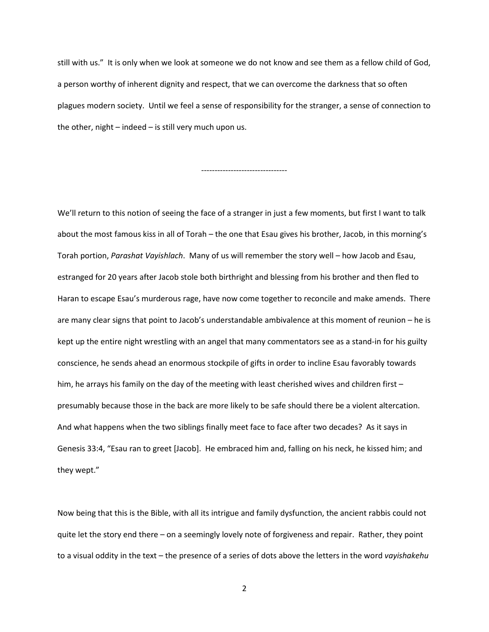still with us." It is only when we look at someone we do not know and see them as a fellow child of God, a person worthy of inherent dignity and respect, that we can overcome the darkness that so often plagues modern society. Until we feel a sense of responsibility for the stranger, a sense of connection to the other, night – indeed – is still very much upon us.

--------------------------------

We'll return to this notion of seeing the face of a stranger in just a few moments, but first I want to talk about the most famous kiss in all of Torah – the one that Esau gives his brother, Jacob, in this morning's Torah portion, *Parashat Vayishlach*. Many of us will remember the story well – how Jacob and Esau, estranged for 20 years after Jacob stole both birthright and blessing from his brother and then fled to Haran to escape Esau's murderous rage, have now come together to reconcile and make amends. There are many clear signs that point to Jacob's understandable ambivalence at this moment of reunion – he is kept up the entire night wrestling with an angel that many commentators see as a stand-in for his guilty conscience, he sends ahead an enormous stockpile of gifts in order to incline Esau favorably towards him, he arrays his family on the day of the meeting with least cherished wives and children first – presumably because those in the back are more likely to be safe should there be a violent altercation. And what happens when the two siblings finally meet face to face after two decades? As it says in Genesis 33:4, "Esau ran to greet [Jacob]. He embraced him and, falling on his neck, he kissed him; and they wept."

Now being that this is the Bible, with all its intrigue and family dysfunction, the ancient rabbis could not quite let the story end there – on a seemingly lovely note of forgiveness and repair. Rather, they point to a visual oddity in the text – the presence of a series of dots above the letters in the word *vayishakehu*

2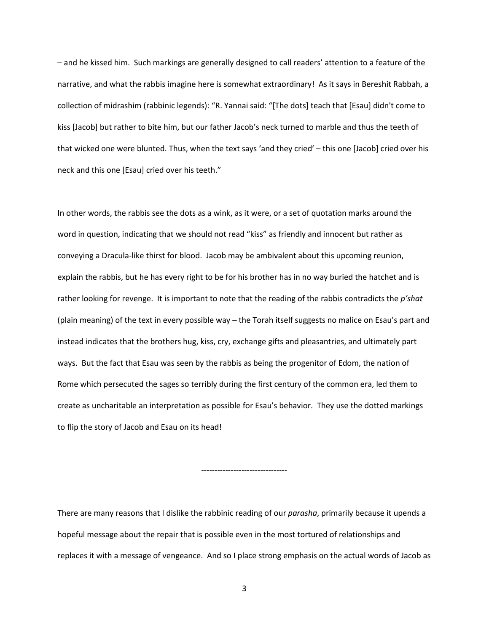– and he kissed him. Such markings are generally designed to call readers' attention to a feature of the narrative, and what the rabbis imagine here is somewhat extraordinary! As it says in Bereshit Rabbah, a collection of midrashim (rabbinic legends): "R. Yannai said: "[The dots] teach that [Esau] didn't come to kiss [Jacob] but rather to bite him, but our father Jacob's neck turned to marble and thus the teeth of that wicked one were blunted. Thus, when the text says 'and they cried' – this one [Jacob] cried over his neck and this one [Esau] cried over his teeth."

In other words, the rabbis see the dots as a wink, as it were, or a set of quotation marks around the word in question, indicating that we should not read "kiss" as friendly and innocent but rather as conveying a Dracula-like thirst for blood. Jacob may be ambivalent about this upcoming reunion, explain the rabbis, but he has every right to be for his brother has in no way buried the hatchet and is rather looking for revenge. It is important to note that the reading of the rabbis contradicts the *p'shat* (plain meaning) of the text in every possible way – the Torah itself suggests no malice on Esau's part and instead indicates that the brothers hug, kiss, cry, exchange gifts and pleasantries, and ultimately part ways. But the fact that Esau was seen by the rabbis as being the progenitor of Edom, the nation of Rome which persecuted the sages so terribly during the first century of the common era, led them to create as uncharitable an interpretation as possible for Esau's behavior. They use the dotted markings to flip the story of Jacob and Esau on its head!

--------------------------------

There are many reasons that I dislike the rabbinic reading of our *parasha*, primarily because it upends a hopeful message about the repair that is possible even in the most tortured of relationships and replaces it with a message of vengeance. And so I place strong emphasis on the actual words of Jacob as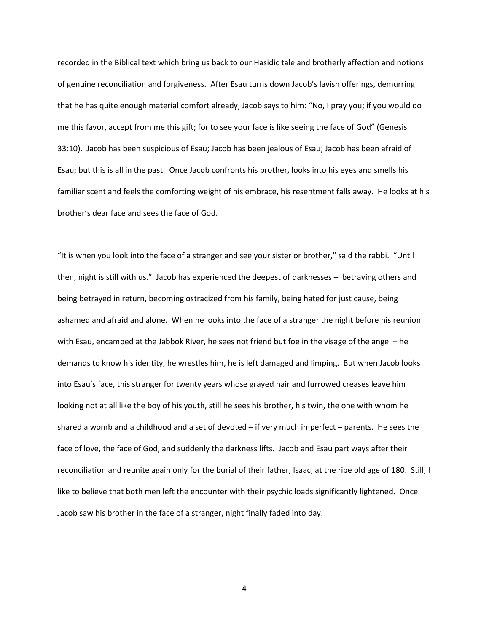recorded in the Biblical text which bring us back to our Hasidic tale and brotherly affection and notions of genuine reconciliation and forgiveness. After Esau turns down Jacob's lavish offerings, demurring that he has quite enough material comfort already, Jacob says to him: "No, I pray you; if you would do me this favor, accept from me this gift; for to see your face is like seeing the face of God" (Genesis 33:10). Jacob has been suspicious of Esau; Jacob has been jealous of Esau; Jacob has been afraid of Esau; but this is all in the past. Once Jacob confronts his brother, looks into his eyes and smells his familiar scent and feels the comforting weight of his embrace, his resentment falls away. He looks at his brother's dear face and sees the face of God.

"It is when you look into the face of a stranger and see your sister or brother," said the rabbi. "Until then, night is still with us." Jacob has experienced the deepest of darknesses – betraying others and being betrayed in return, becoming ostracized from his family, being hated for just cause, being ashamed and afraid and alone. When he looks into the face of a stranger the night before his reunion with Esau, encamped at the Jabbok River, he sees not friend but foe in the visage of the angel – he demands to know his identity, he wrestles him, he is left damaged and limping. But when Jacob looks into Esau's face, this stranger for twenty years whose grayed hair and furrowed creases leave him looking not at all like the boy of his youth, still he sees his brother, his twin, the one with whom he shared a womb and a childhood and a set of devoted – if very much imperfect – parents. He sees the face of love, the face of God, and suddenly the darkness lifts. Jacob and Esau part ways after their reconciliation and reunite again only for the burial of their father, Isaac, at the ripe old age of 180. Still, I like to believe that both men left the encounter with their psychic loads significantly lightened. Once Jacob saw his brother in the face of a stranger, night finally faded into day.

4